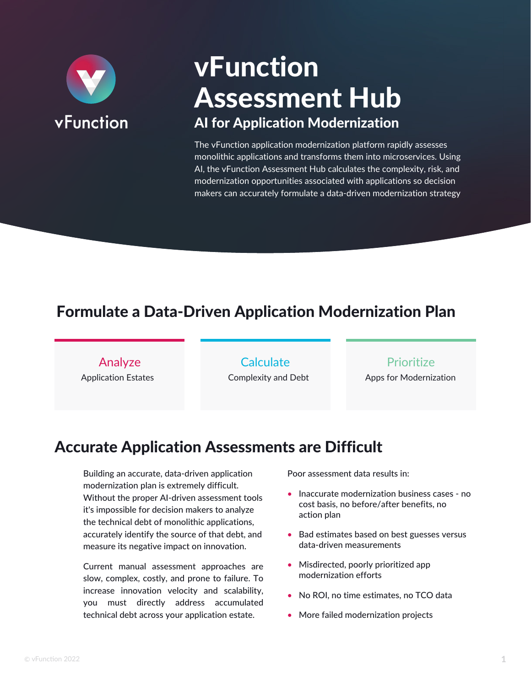

# vFunction Assessment Hub AI for Application Modernization

The vFunction application modernization platform rapidly assesses monolithic applications and transforms them into microservices. Using AI, the vFunction Assessment Hub calculates the complexity, risk, and modernization opportunities associated with applications so decision makers can accurately formulate a data-driven modernization strategy

## Formulate a Data-Driven Application Modernization Plan

Analyze Application Estates

**Calculate** Complexity and Debt

#### Prioritize

Apps for Modernization

### Accurate Application Assessments are Difficult

Building an accurate, data-driven application modernization plan is extremely difficult. Without the proper AI-driven assessment tools it's impossible for decision makers to analyze the technical debt of monolithic applications, accurately identify the source of that debt, and measure its negative impact on innovation.

Current manual assessment approaches are slow, complex, costly, and prone to failure. To increase innovation velocity and scalability, you must directly address accumulated technical debt across your application estate.

Poor assessment data results in:

- Inaccurate modernization business cases no cost basis, no before/after benefits, no action plan
- Bad estimates based on best guesses versus data-driven measurements
- Misdirected, poorly prioritized app modernization efforts
- No ROI, no time estimates, no TCO data
- More failed modernization projects